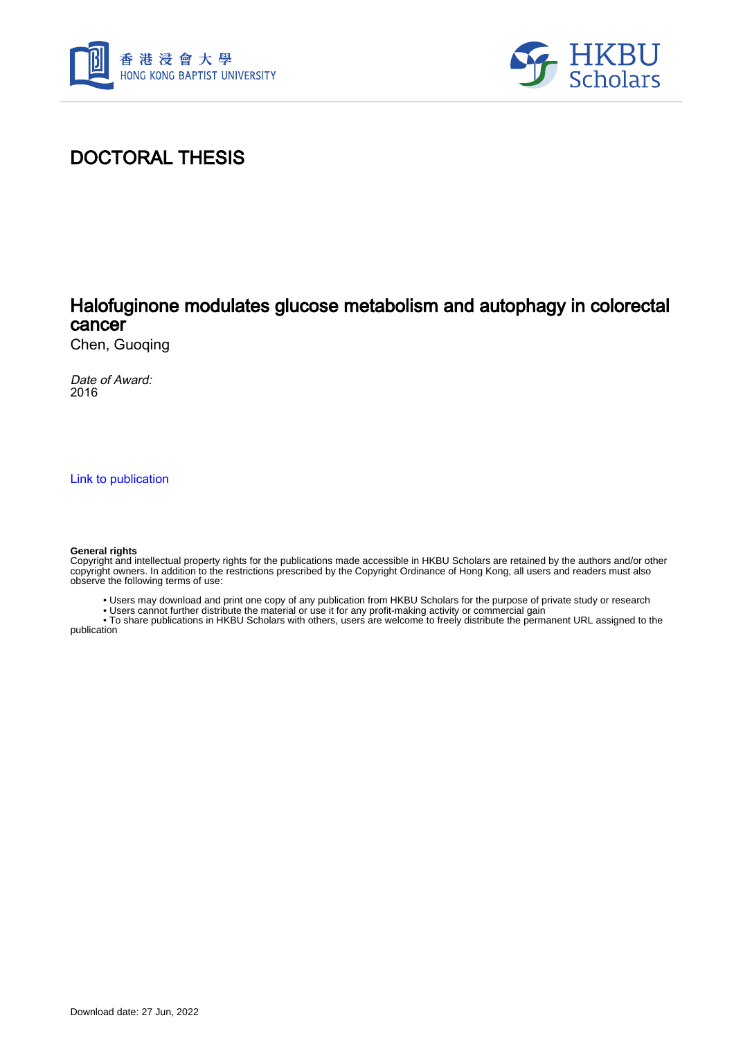



## DOCTORAL THESIS

### Halofuginone modulates glucose metabolism and autophagy in colorectal cancer

Chen, Guoqing

Date of Award: 2016

[Link to publication](https://scholars.hkbu.edu.hk/en/studentTheses/73d52a57-1796-46c6-adfd-6300ba880f93)

#### **General rights**

Copyright and intellectual property rights for the publications made accessible in HKBU Scholars are retained by the authors and/or other copyright owners. In addition to the restrictions prescribed by the Copyright Ordinance of Hong Kong, all users and readers must also observe the following terms of use:

- Users may download and print one copy of any publication from HKBU Scholars for the purpose of private study or research
- Users cannot further distribute the material or use it for any profit-making activity or commercial gain

 • To share publications in HKBU Scholars with others, users are welcome to freely distribute the permanent URL assigned to the publication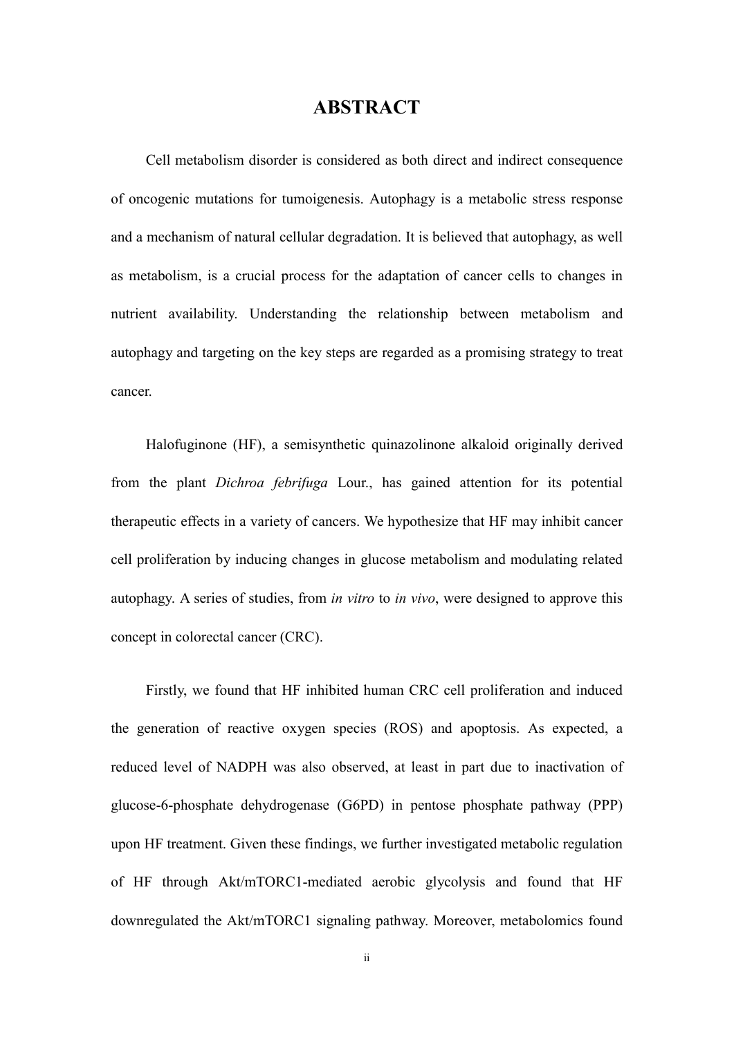### **ABSTRACT**

Cell metabolism disorder is considered as both direct and indirect consequence of oncogenic mutations for tumoigenesis. Autophagy is a metabolic stress response and a mechanism of natural cellular degradation. It is believed that autophagy, as well as metabolism, is a crucial process for the adaptation of cancer cells to changes in nutrient availability. Understanding the relationship between metabolism and autophagy and targeting on the key steps are regarded as a promising strategy to treat cancer.

Halofuginone (HF), a semisynthetic quinazolinone alkaloid originally derived from the plant *Dichroa febrifuga* Lour., has gained attention for its potential therapeutic effects in a variety of cancers. We hypothesize that HF may inhibit cancer cell proliferation by inducing changes in glucose metabolism and modulating related autophagy. A series of studies, from *in vitro* to *in vivo*, were designed to approve this concept in colorectal cancer (CRC).

Firstly, we found that HF inhibited human CRC cell proliferation and induced the generation of reactive oxygen species (ROS) and apoptosis. As expected, a reduced level of NADPH was also observed, at least in part due to inactivation of glucose-6-phosphate dehydrogenase (G6PD) in pentose phosphate pathway (PPP) upon HF treatment. Given these findings, we further investigated metabolic regulation of HF through Akt/mTORC1-mediated aerobic glycolysis and found that HF downregulated the Akt/mTORC1 signaling pathway. Moreover, metabolomics found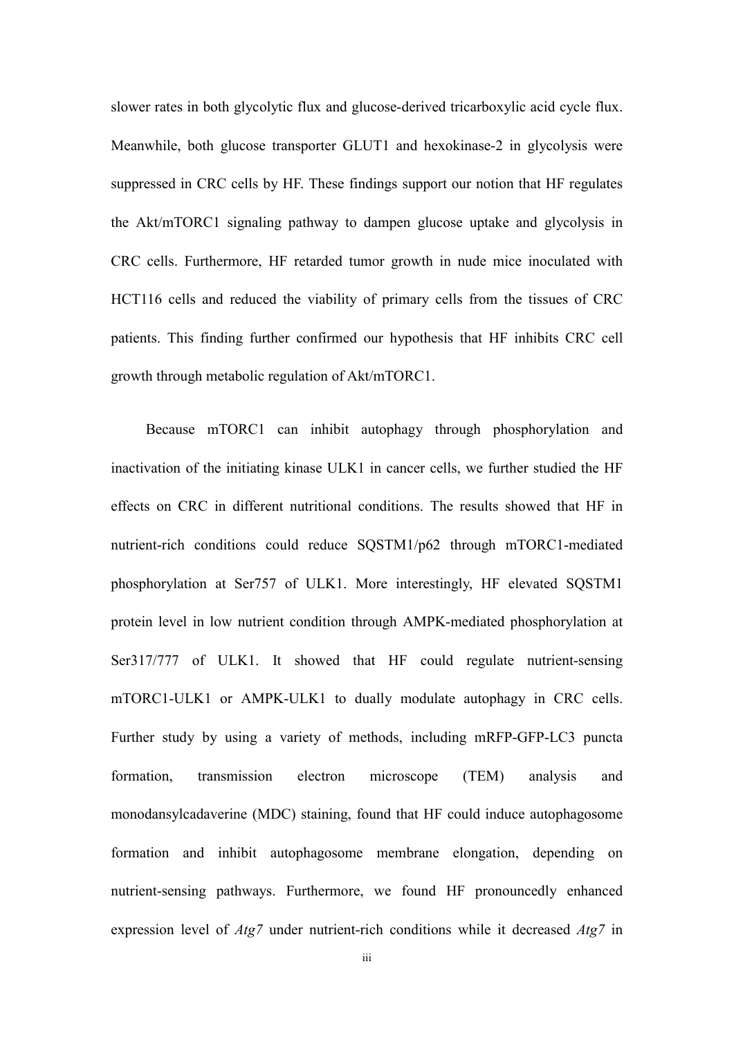slower rates in both glycolytic flux and glucose-derived tricarboxylic acid cycle flux. Meanwhile, both glucose transporter GLUT1 and hexokinase-2 in glycolysis were suppressed in CRC cells by HF. These findings support our notion that HF regulates the Akt/mTORC1 signaling pathway to dampen glucose uptake and glycolysis in CRC cells. Furthermore, HF retarded tumor growth in nude mice inoculated with HCT116 cells and reduced the viability of primary cells from the tissues of CRC patients. This finding further confirmed our hypothesis that HF inhibits CRC cell growth through metabolic regulation of Akt/mTORC1.

Because mTORC1 can inhibit autophagy through phosphorylation and inactivation of the initiating kinase ULK1 in cancer cells, we further studied the HF effects on CRC in different nutritional conditions. The results showed that HF in nutrient-rich conditions could reduce SQSTM1/p62 through mTORC1-mediated phosphorylation at Ser757 of ULK1. More interestingly, HF elevated SQSTM1 protein level in low nutrient condition through AMPK-mediated phosphorylation at Ser317/777 of ULK1. It showed that HF could regulate nutrient-sensing mTORC1-ULK1 or AMPK-ULK1 to dually modulate autophagy in CRC cells. Further study by using a variety of methods, including mRFP-GFP-LC3 puncta formation, transmission electron microscope (TEM) analysis and monodansylcadaverine (MDC) staining, found that HF could induce autophagosome formation and inhibit autophagosome membrane elongation, depending on nutrient-sensing pathways. Furthermore, we found HF pronouncedly enhanced expression level of *Atg7* under nutrient-rich conditions while it decreased *Atg7* in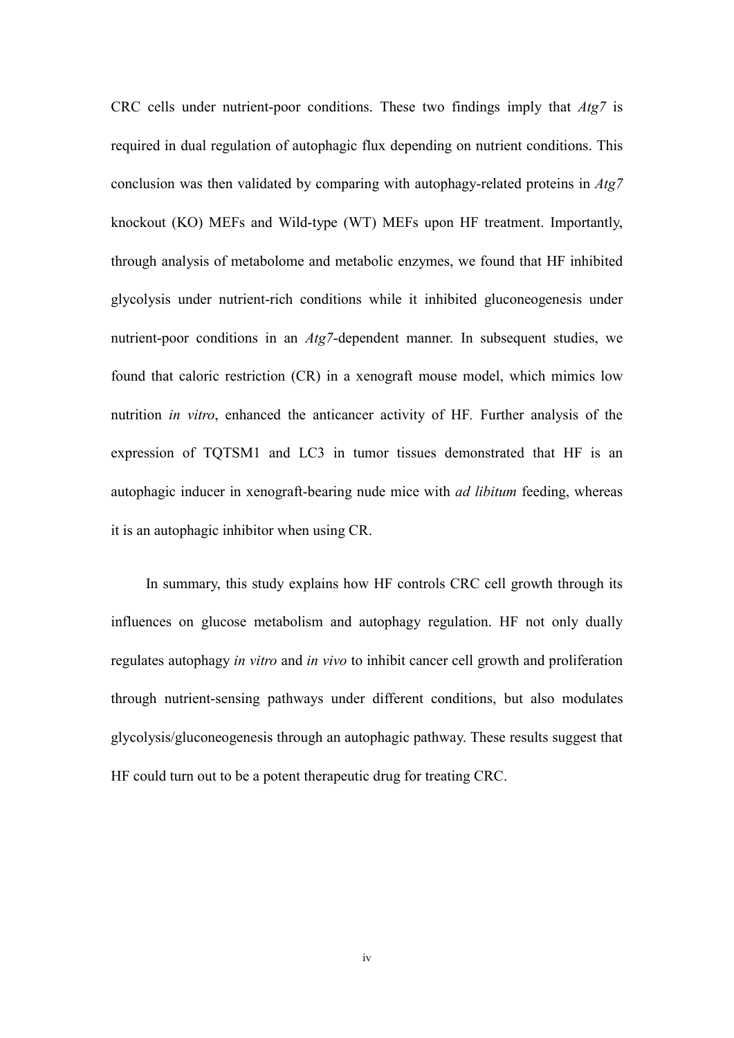CRC cells under nutrient-poor conditions. These two findings imply that *Atg7* is required in dual regulation of autophagic flux depending on nutrient conditions. This conclusion was then validated by comparing with autophagy-related proteins in *Atg7* knockout (KO) MEFs and Wild-type (WT) MEFs upon HF treatment. Importantly, through analysis of metabolome and metabolic enzymes, we found that HF inhibited glycolysis under nutrient-rich conditions while it inhibited gluconeogenesis under nutrient-poor conditions in an *Atg7*-dependent manner. In subsequent studies, we found that caloric restriction (CR) in a xenograft mouse model, which mimics low nutrition *in vitro*, enhanced the anticancer activity of HF*.* Further analysis of the expression of TQTSM1 and LC3 in tumor tissues demonstrated that HF is an autophagic inducer in xenograft-bearing nude mice with *ad libitum* feeding, whereas it is an autophagic inhibitor when using CR.

In summary, this study explains how HF controls CRC cell growth through its influences on glucose metabolism and autophagy regulation. HF not only dually regulates autophagy *in vitro* and *in vivo* to inhibit cancer cell growth and proliferation through nutrient-sensing pathways under different conditions, but also modulates glycolysis/gluconeogenesis through an autophagic pathway. These results suggest that HF could turn out to be a potent therapeutic drug for treating CRC.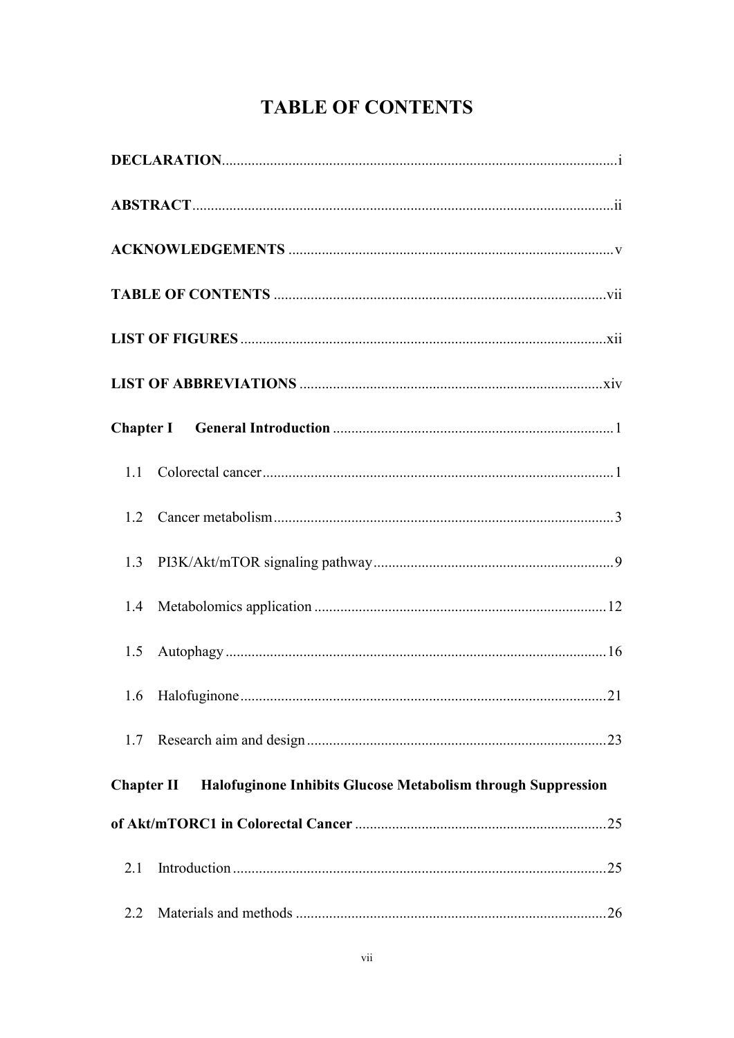# **TABLE OF CONTENTS**

| 1.5               |                                                              |  |  |  |  |
|-------------------|--------------------------------------------------------------|--|--|--|--|
|                   |                                                              |  |  |  |  |
| 1.7               |                                                              |  |  |  |  |
| <b>Chapter II</b> | Halofuginone Inhibits Glucose Metabolism through Suppression |  |  |  |  |
|                   |                                                              |  |  |  |  |
| 2.1               |                                                              |  |  |  |  |
| 2.2               |                                                              |  |  |  |  |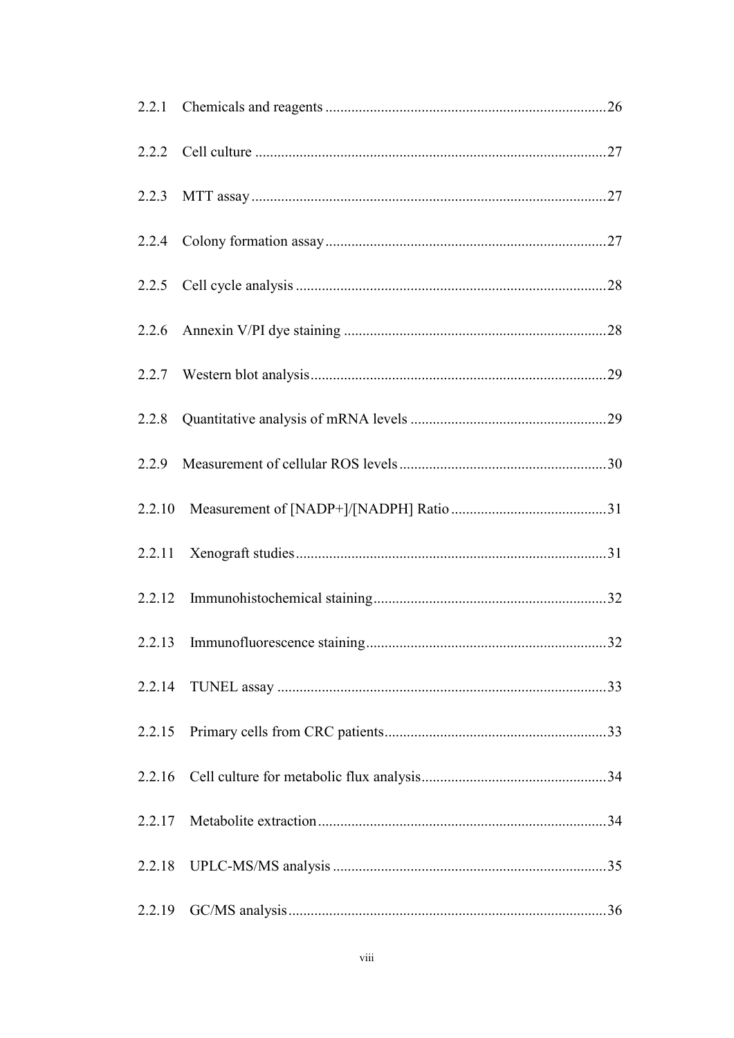| 2.2.14 |  |
|--------|--|
| 2.2.15 |  |
| 2.2.16 |  |
| 2.2.17 |  |
| 2.2.18 |  |
| 2.2.19 |  |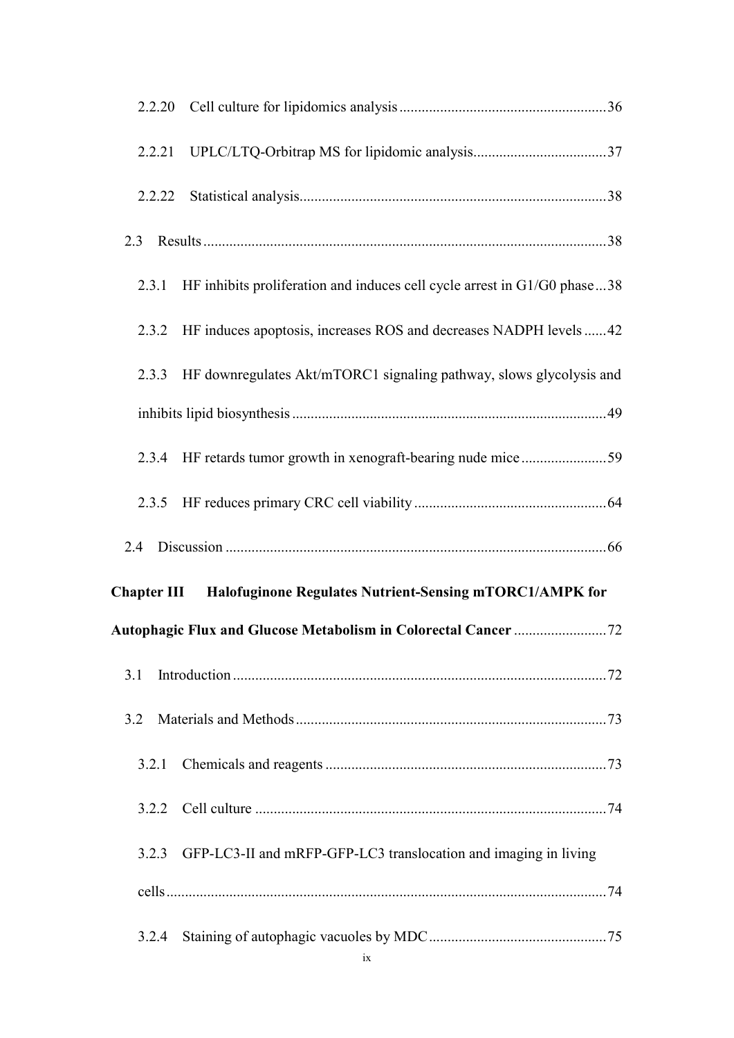| 2.3   |                                                                                |
|-------|--------------------------------------------------------------------------------|
|       | 2.3.1 HF inhibits proliferation and induces cell cycle arrest in G1/G0 phase38 |
|       | 2.3.2 HF induces apoptosis, increases ROS and decreases NADPH levels 42        |
|       | 2.3.3 HF downregulates Akt/mTORC1 signaling pathway, slows glycolysis and      |
|       |                                                                                |
|       |                                                                                |
|       |                                                                                |
|       |                                                                                |
|       |                                                                                |
|       | Chapter III Halofuginone Regulates Nutrient-Sensing mTORC1/AMPK for            |
|       |                                                                                |
| 3.1   |                                                                                |
| 3.2   |                                                                                |
| 3.2.1 |                                                                                |
|       |                                                                                |
| 3.2.3 | GFP-LC3-II and mRFP-GFP-LC3 translocation and imaging in living                |
|       |                                                                                |